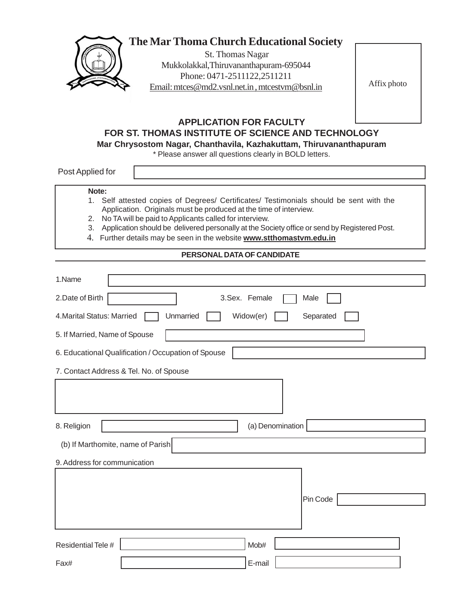

# **The Mar Thoma Church Educational Society**

 St. Thomas Nagar Mukkolakkal,Thiruvananthapuram-695044 Phone: 0471-2511122,2511211 Email: mtces@md2.vsnl.net.in , mtcestvm@bsnl.in

Affix photo

## **APPLICATION FOR FACULTY FOR ST. THOMAS INSTITUTE OF SCIENCE AND TECHNOLOGY**

**Mar Chrysostom Nagar, Chanthavila, Kazhakuttam, Thiruvananthapuram**

\* Please answer all questions clearly in BOLD letters.

Post Applied for

### **Note:**

- 1. Self attested copies of Degrees/ Certificates/ Testimonials should be sent with the Application. Originals must be produced at the time of interview.
- 2. No TA will be paid to Applicants called for interview.
- 3. Application should be delivered personally at the Society office or send by Registered Post.
- 4. Further details may be seen in the website **www.stthomastvm.edu.in**

## **PERSONAL DATA OF CANDIDATE**

| 1.Name                                              |                        |
|-----------------------------------------------------|------------------------|
| 2.Date of Birth                                     | 3.Sex. Female<br>Male  |
| 4. Marital Status: Married<br>Unmarried             | Widow(er)<br>Separated |
| 5. If Married, Name of Spouse                       |                        |
| 6. Educational Qualification / Occupation of Spouse |                        |
| 7. Contact Address & Tel. No. of Spouse             |                        |
|                                                     |                        |
| 8. Religion                                         | (a) Denomination       |
| (b) If Marthomite, name of Parish                   |                        |
| 9. Address for communication                        |                        |
|                                                     | Pin Code               |
|                                                     |                        |
| Residential Tele #                                  | Mob#                   |
| Fax#                                                | E-mail                 |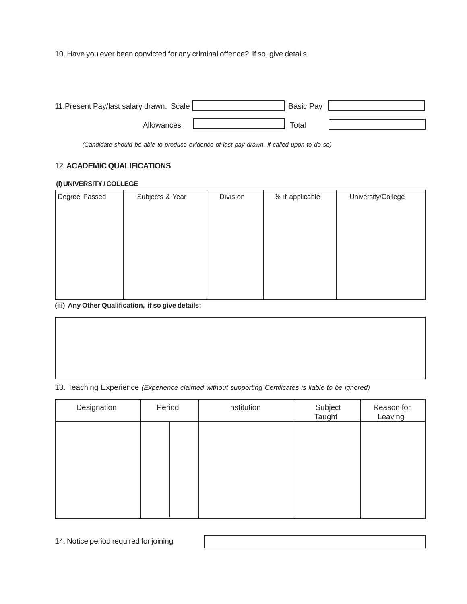10. Have you ever been convicted for any criminal offence? If so, give details.

| 11. Present Pay/last salary drawn. Scale | <b>Basic Pay</b> |  |
|------------------------------------------|------------------|--|
|                                          |                  |  |
| Allowances                               | Total            |  |

*(Candidate should be able to produce evidence of last pay drawn, if called upon to do so)*

## 12. **ACADEMIC QUALIFICATIONS**

#### **(i) UNIVERSITY / COLLEGE**

| Degree Passed | Subjects & Year | Division | % if applicable | University/College |
|---------------|-----------------|----------|-----------------|--------------------|
|               |                 |          |                 |                    |
|               |                 |          |                 |                    |
|               |                 |          |                 |                    |
|               |                 |          |                 |                    |
|               |                 |          |                 |                    |
|               |                 |          |                 |                    |
|               |                 |          |                 |                    |
|               |                 |          |                 |                    |

**(iii) Any Other Qualification, if so give details:**

13. Teaching Experience *(Experience claimed without supporting Certificates is liable to be ignored)*

| Designation | Period | Institution | Subject<br>Taught | Reason for<br>Leaving |
|-------------|--------|-------------|-------------------|-----------------------|
|             |        |             |                   |                       |
|             |        |             |                   |                       |
|             |        |             |                   |                       |
|             |        |             |                   |                       |
|             |        |             |                   |                       |

14. Notice period required for joining